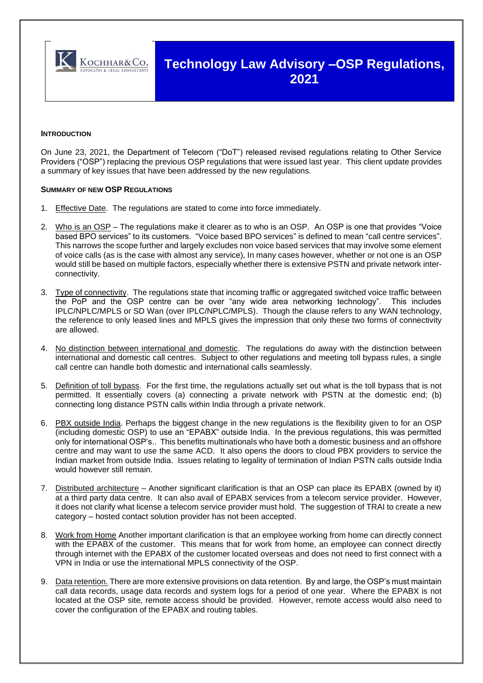

# **Technology Law Advisory –OSP Regulations, 2021**

### **INTRODUCTION**

On June 23, 2021, the Department of Telecom ("DoT") released revised regulations relating to Other Service Providers ("OSP") replacing the previous OSP regulations that were issued last year. This client update provides a summary of key issues that have been addressed by the new regulations.

#### **SUMMARY OF NEW OSP REGULATIONS**

- 1. Effective Date. The regulations are stated to come into force immediately.
- 2. Who is an OSP The regulations make it clearer as to who is an OSP. An OSP is one that provides "Voice based BPO services" to its customers. "Voice based BPO services" is defined to mean "call centre services". This narrows the scope further and largely excludes non voice based services that may involve some element of voice calls (as is the case with almost any service), In many cases however, whether or not one is an OSP would still be based on multiple factors, especially whether there is extensive PSTN and private network interconnectivity.
- 3. Type of connectivity. The regulations state that incoming traffic or aggregated switched voice traffic between the PoP and the OSP centre can be over "any wide area networking technology". This includes IPLC/NPLC/MPLS or SD Wan (over IPLC/NPLC/MPLS). Though the clause refers to any WAN technology, the reference to only leased lines and MPLS gives the impression that only these two forms of connectivity are allowed.
- 4. No distinction between international and domestic. The regulations do away with the distinction between international and domestic call centres. Subject to other regulations and meeting toll bypass rules, a single call centre can handle both domestic and international calls seamlessly.
- 5. Definition of toll bypass. For the first time, the regulations actually set out what is the toll bypass that is not permitted. It essentially covers (a) connecting a private network with PSTN at the domestic end; (b) connecting long distance PSTN calls within India through a private network.
- 6. PBX outside India. Perhaps the biggest change in the new regulations is the flexibility given to for an OSP (including domestic OSP) to use an "EPABX" outside India. In the previous regulations, this was permitted only for international OSP's.. This benefits multinationals who have both a domestic business and an offshore centre and may want to use the same ACD. It also opens the doors to cloud PBX providers to service the Indian market from outside India. Issues relating to legality of termination of Indian PSTN calls outside India would however still remain.
- 7. Distributed architecture Another significant clarification is that an OSP can place its EPABX (owned by it) at a third party data centre. It can also avail of EPABX services from a telecom service provider. However, it does not clarify what license a telecom service provider must hold. The suggestion of TRAI to create a new category – hosted contact solution provider has not been accepted.
- 8. Work from Home Another important clarification is that an employee working from home can directly connect with the EPABX of the customer. This means that for work from home, an employee can connect directly through internet with the EPABX of the customer located overseas and does not need to first connect with a VPN in India or use the international MPLS connectivity of the OSP.
- 9. Data retention. There are more extensive provisions on data retention. By and large, the OSP's must maintain call data records, usage data records and system logs for a period of one year. Where the EPABX is not located at the OSP site, remote access should be provided. However, remote access would also need to cover the configuration of the EPABX and routing tables.